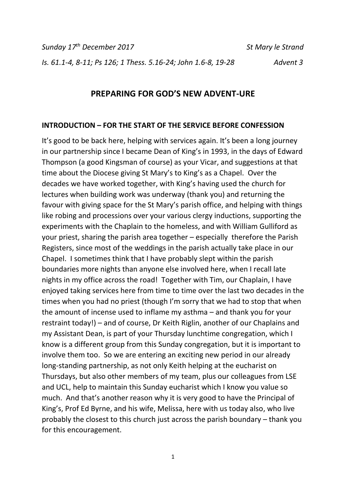*Sunday 17th December 2017 St Mary le Strand Is. 61.1-4, 8-11; Ps 126; 1 Thess. 5.16-24; John 1.6-8, 19-28 Advent 3*

## **PREPARING FOR GOD'S NEW ADVENT-URE**

#### **INTRODUCTION – FOR THE START OF THE SERVICE BEFORE CONFESSION**

It's good to be back here, helping with services again. It's been a long journey in our partnership since I became Dean of King's in 1993, in the days of Edward Thompson (a good Kingsman of course) as your Vicar, and suggestions at that time about the Diocese giving St Mary's to King's as a Chapel. Over the decades we have worked together, with King's having used the church for lectures when building work was underway (thank you) and returning the favour with giving space for the St Mary's parish office, and helping with things like robing and processions over your various clergy inductions, supporting the experiments with the Chaplain to the homeless, and with William Gulliford as your priest, sharing the parish area together – especially therefore the Parish Registers, since most of the weddings in the parish actually take place in our Chapel. I sometimes think that I have probably slept within the parish boundaries more nights than anyone else involved here, when I recall late nights in my office across the road! Together with Tim, our Chaplain, I have enjoyed taking services here from time to time over the last two decades in the times when you had no priest (though I'm sorry that we had to stop that when the amount of incense used to inflame my asthma – and thank you for your restraint today!) – and of course, Dr Keith Riglin, another of our Chaplains and my Assistant Dean, is part of your Thursday lunchtime congregation, which I know is a different group from this Sunday congregation, but it is important to involve them too. So we are entering an exciting new period in our already long-standing partnership, as not only Keith helping at the eucharist on Thursdays, but also other members of my team, plus our colleagues from LSE and UCL, help to maintain this Sunday eucharist which I know you value so much. And that's another reason why it is very good to have the Principal of King's, Prof Ed Byrne, and his wife, Melissa, here with us today also, who live probably the closest to this church just across the parish boundary – thank you for this encouragement.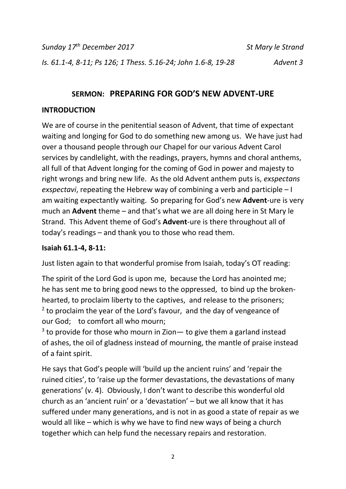*Sunday 17th December 2017 St Mary le Strand Is. 61.1-4, 8-11; Ps 126; 1 Thess. 5.16-24; John 1.6-8, 19-28 Advent 3*

# **SERMON: PREPARING FOR GOD'S NEW ADVENT-URE**

## **INTRODUCTION**

We are of course in the penitential season of Advent, that time of expectant waiting and longing for God to do something new among us. We have just had over a thousand people through our Chapel for our various Advent Carol services by candlelight, with the readings, prayers, hymns and choral anthems, all full of that Advent longing for the coming of God in power and majesty to right wrongs and bring new life. As the old Advent anthem puts is, *exspectans exspectavi*, repeating the Hebrew way of combining a verb and participle – I am waiting expectantly waiting. So preparing for God's new **Advent**-ure is very much an **Advent** theme – and that's what we are all doing here in St Mary le Strand. This Advent theme of God's **Advent**-ure is there throughout all of today's readings – and thank you to those who read them.

## **Isaiah 61.1-4, 8-11:**

Just listen again to that wonderful promise from Isaiah, today's OT reading:

The spirit of the Lord God is upon me, because the Lord has anointed me; he has sent me to bring good news to the oppressed, to bind up the brokenhearted, to proclaim liberty to the captives, and release to the prisoners;  $2$  to proclaim the year of the Lord's favour, and the day of vengeance of our God; to comfort all who mourn;

 $3$  to provide for those who mourn in Zion  $-$  to give them a garland instead of ashes, the oil of gladness instead of mourning, the mantle of praise instead of a faint spirit.

He says that God's people will 'build up the ancient ruins' and 'repair the ruined cities', to 'raise up the former devastations, the devastations of many generations' (v. 4). Obviously, I don't want to describe this wonderful old church as an 'ancient ruin' or a 'devastation' – but we all know that it has suffered under many generations, and is not in as good a state of repair as we would all like – which is why we have to find new ways of being a church together which can help fund the necessary repairs and restoration.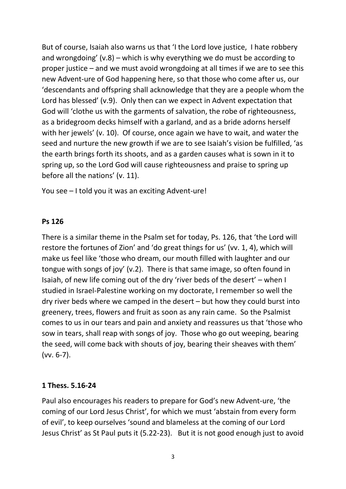But of course, Isaiah also warns us that 'I the Lord love justice, I hate robbery and wrongdoing' (v.8) – which is why everything we do must be according to proper justice – and we must avoid wrongdoing at all times if we are to see this new Advent-ure of God happening here, so that those who come after us, our 'descendants and offspring shall acknowledge that they are a people whom the Lord has blessed' (v.9). Only then can we expect in Advent expectation that God will 'clothe us with the garments of salvation, the robe of righteousness, as a bridegroom decks himself with a garland, and as a bride adorns herself with her jewels' (v. 10). Of course, once again we have to wait, and water the seed and nurture the new growth if we are to see Isaiah's vision be fulfilled, 'as the earth brings forth its shoots, and as a garden causes what is sown in it to spring up, so the Lord God will cause righteousness and praise to spring up before all the nations' (v. 11).

You see – I told you it was an exciting Advent-ure!

### **Ps 126**

There is a similar theme in the Psalm set for today, Ps. 126, that 'the Lord will restore the fortunes of Zion' and 'do great things for us' (vv. 1, 4), which will make us feel like 'those who dream, our mouth filled with laughter and our tongue with songs of joy' (v.2). There is that same image, so often found in Isaiah, of new life coming out of the dry 'river beds of the desert' – when I studied in Israel-Palestine working on my doctorate, I remember so well the dry river beds where we camped in the desert – but how they could burst into greenery, trees, flowers and fruit as soon as any rain came. So the Psalmist comes to us in our tears and pain and anxiety and reassures us that 'those who sow in tears, shall reap with songs of joy. Those who go out weeping, bearing the seed, will come back with shouts of joy, bearing their sheaves with them' (vv. 6-7).

### **1 Thess. 5.16-24**

Paul also encourages his readers to prepare for God's new Advent-ure, 'the coming of our Lord Jesus Christ', for which we must 'abstain from every form of evil', to keep ourselves 'sound and blameless at the coming of our Lord Jesus Christ' as St Paul puts it (5.22-23). But it is not good enough just to avoid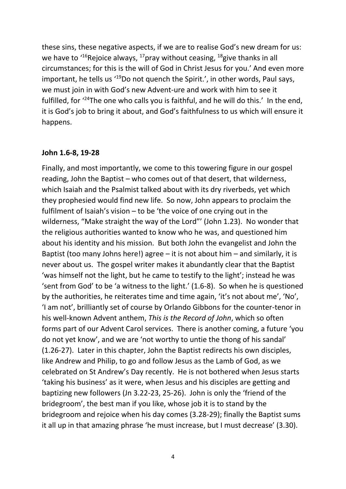these sins, these negative aspects, if we are to realise God's new dream for us: we have to  $16$ Rejoice always,  $17$ pray without ceasing,  $18$ give thanks in all circumstances; for this is the will of God in Christ Jesus for you.' And even more important, he tells us <sup>'19</sup>Do not quench the Spirit.', in other words, Paul says, we must join in with God's new Advent-ure and work with him to see it fulfilled, for '<sup>24</sup>The one who calls you is faithful, and he will do this.' In the end, it is God's job to bring it about, and God's faithfulness to us which will ensure it happens.

#### **John 1.6-8, 19-28**

Finally, and most importantly, we come to this towering figure in our gospel reading, John the Baptist – who comes out of that desert, that wilderness, which Isaiah and the Psalmist talked about with its dry riverbeds, yet which they prophesied would find new life. So now, John appears to proclaim the fulfilment of Isaiah's vision  $-$  to be 'the voice of one crying out in the wilderness, "Make straight the way of the Lord"' (John 1.23). No wonder that the religious authorities wanted to know who he was, and questioned him about his identity and his mission. But both John the evangelist and John the Baptist (too many Johns here!) agree – it is not about him – and similarly, it is never about us. The gospel writer makes it abundantly clear that the Baptist 'was himself not the light, but he came to testify to the light'; instead he was 'sent from God' to be 'a witness to the light.' (1.6-8). So when he is questioned by the authorities, he reiterates time and time again, 'it's not about me', 'No', 'I am not', brilliantly set of course by Orlando Gibbons for the counter-tenor in his well-known Advent anthem, *This is the Record of John*, which so often forms part of our Advent Carol services. There is another coming, a future 'you do not yet know', and we are 'not worthy to untie the thong of his sandal' (1.26-27). Later in this chapter, John the Baptist redirects his own disciples, like Andrew and Philip, to go and follow Jesus as the Lamb of God, as we celebrated on St Andrew's Day recently. He is not bothered when Jesus starts 'taking his business' as it were, when Jesus and his disciples are getting and baptizing new followers (Jn 3.22-23, 25-26). John is only the 'friend of the bridegroom', the best man if you like, whose job it is to stand by the bridegroom and rejoice when his day comes (3.28-29); finally the Baptist sums it all up in that amazing phrase 'he must increase, but I must decrease' (3.30).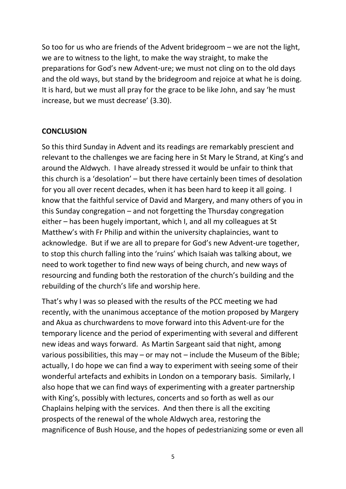So too for us who are friends of the Advent bridegroom – we are not the light, we are to witness to the light, to make the way straight, to make the preparations for God's new Advent-ure; we must not cling on to the old days and the old ways, but stand by the bridegroom and rejoice at what he is doing. It is hard, but we must all pray for the grace to be like John, and say 'he must increase, but we must decrease' (3.30).

### **CONCLUSION**

So this third Sunday in Advent and its readings are remarkably prescient and relevant to the challenges we are facing here in St Mary le Strand, at King's and around the Aldwych. I have already stressed it would be unfair to think that this church is a 'desolation' – but there have certainly been times of desolation for you all over recent decades, when it has been hard to keep it all going. I know that the faithful service of David and Margery, and many others of you in this Sunday congregation – and not forgetting the Thursday congregation either – has been hugely important, which I, and all my colleagues at St Matthew's with Fr Philip and within the university chaplaincies, want to acknowledge. But if we are all to prepare for God's new Advent-ure together, to stop this church falling into the 'ruins' which Isaiah was talking about, we need to work together to find new ways of being church, and new ways of resourcing and funding both the restoration of the church's building and the rebuilding of the church's life and worship here.

That's why I was so pleased with the results of the PCC meeting we had recently, with the unanimous acceptance of the motion proposed by Margery and Akua as churchwardens to move forward into this Advent-ure for the temporary licence and the period of experimenting with several and different new ideas and ways forward. As Martin Sargeant said that night, among various possibilities, this may – or may not – include the Museum of the Bible; actually, I do hope we can find a way to experiment with seeing some of their wonderful artefacts and exhibits in London on a temporary basis. Similarly, I also hope that we can find ways of experimenting with a greater partnership with King's, possibly with lectures, concerts and so forth as well as our Chaplains helping with the services. And then there is all the exciting prospects of the renewal of the whole Aldwych area, restoring the magnificence of Bush House, and the hopes of pedestrianizing some or even all